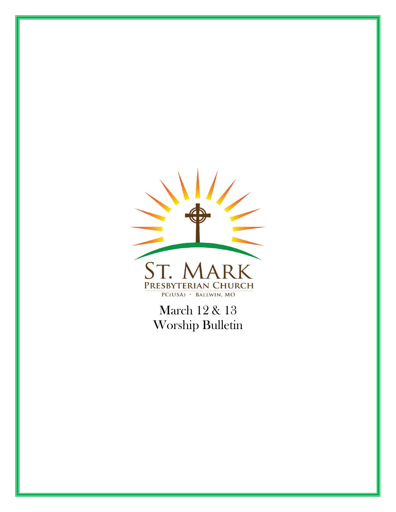

March 12 & 13 Worship Bulletin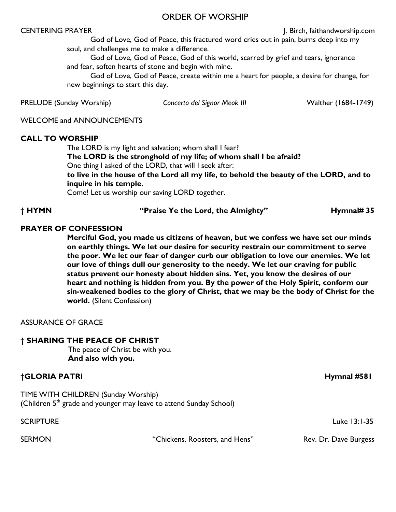#### ORDER OF WORSHIP

CENTERING PRAYER **CENTERING PRAYER J. Birch, faithandworship.com** 

God of Love, God of Peace, this fractured word cries out in pain, burns deep into my soul, and challenges me to make a difference.

 God of Love, God of Peace, God of this world, scarred by grief and tears, ignorance and fear, soften hearts of stone and begin with mine.

 God of Love, God of Peace, create within me a heart for people, a desire for change, for new beginnings to start this day.

PRELUDE (Sunday Worship) *Concerto del Signor Meok III* Walther (1684-1749)

WELCOME and ANNOUNCEMENTS

#### **CALL TO WORSHIP**

The LORD is my light and salvation; whom shall I fear? **The LORD is the stronghold of my life; of whom shall I be afraid?**

One thing I asked of the LORD, that will I seek after:

**to live in the house of the Lord all my life, to behold the beauty of the LORD, and to inquire in his temple.**

Come! Let us worship our saving LORD together.

**† HYMN "Praise Ye the Lord, the Almighty" Hymnal# 35**

#### **PRAYER OF CONFESSION**

**Merciful God, you made us citizens of heaven, but we confess we have set our minds on earthly things. We let our desire for security restrain our commitment to serve the poor. We let our fear of danger curb our obligation to love our enemies. We let our love of things dull our generosity to the needy. We let our craving for public status prevent our honesty about hidden sins. Yet, you know the desires of our heart and nothing is hidden from you. By the power of the Holy Spirit, conform our sin-weakened bodies to the glory of Christ, that we may be the body of Christ for the world.** (Silent Confession)

ASSURANCE OF GRACE

#### **† SHARING THE PEACE OF CHRIST**

The peace of Christ be with you. **And also with you.**

#### **†GLORIA PATRI Hymnal #581**

TIME WITH CHILDREN (Sunday Worship) (Children  $5<sup>th</sup>$  grade and younger may leave to attend Sunday School)

SCRIPTURE Luke 13:1-35

SERMON **EXAMPLE 19 SERMON** "Chickens, Roosters, and Hens" Rev. Dr. Dave Burgess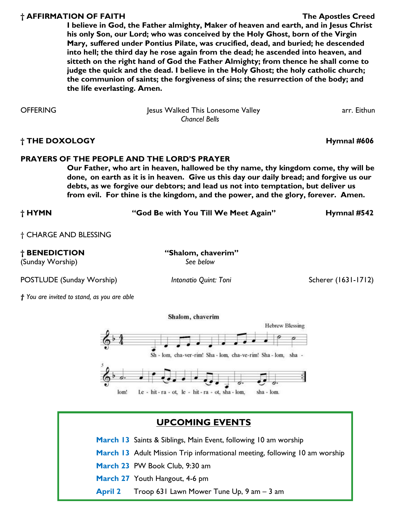#### **† AFFIRMATION OF FAITH The Apostles Creed**

**I believe in God, the Father almighty, Maker of heaven and earth, and in Jesus Christ his only Son, our Lord; who was conceived by the Holy Ghost, born of the Virgin Mary, suffered under Pontius Pilate, was crucified, dead, and buried; he descended into hell; the third day he rose again from the dead; he ascended into heaven, and sitteth on the right hand of God the Father Almighty; from thence he shall come to judge the quick and the dead. I believe in the Holy Ghost; the holy catholic church; the communion of saints; the forgiveness of sins; the resurrection of the body; and the life everlasting. Amen.** 

OFFERING This Lonesome Valley arr. Eithun Jesus Walked This Lonesome Valley *Chancel Bells*

**† THE DOXOLOGY Hymnal #606**

#### **PRAYERS OF THE PEOPLE AND THE LORD'S PRAYER**

**Our Father, who art in heaven, hallowed be thy name, thy kingdom come, thy will be done, on earth as it is in heaven. Give us this day our daily bread; and forgive us our debts, as we forgive our debtors; and lead us not into temptation, but deliver us from evil. For thine is the kingdom, and the power, and the glory, forever. Amen.** 

**† HYMN "God Be with You Till We Meet Again" Hymnal #542**

† CHARGE AND BLESSING

**† BENEDICTION "Shalom, chaverim"** 

(Sunday Worship) *See below*

POSTLUDE (Sunday Worship) *Intonatio Quint: Toni* Scherer (1631-1712)

*† You are invited to stand, as you are able* 



## **UPCOMING EVENTS**

- **March 13** Saints & Siblings, Main Event, following 10 am worship
- **March 13** Adult Mission Trip informational meeting, following 10 am worship
- **March 23** PW Book Club, 9:30 am
- **March 27** Youth Hangout, 4-6 pm
- **April 2** Troop 631 Lawn Mower Tune Up, 9 am 3 am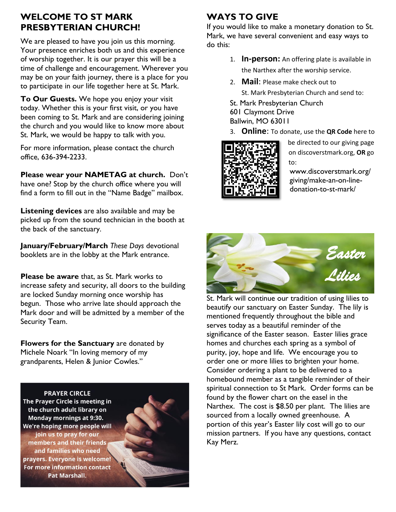### **WELCOME TO ST MARK PRESBYTERIAN CHURCH!**

We are pleased to have you join us this morning. Your presence enriches both us and this experience of worship together. It is our prayer this will be a time of challenge and encouragement. Wherever you may be on your faith journey, there is a place for you to participate in our life together here at St. Mark.

**To Our Guests.** We hope you enjoy your visit today. Whether this is your first visit, or you have been coming to St. Mark and are considering joining the church and you would like to know more about St. Mark, we would be happy to talk with you.

For more information, please contact the church office, 636-394-2233.

**Please wear your NAMETAG at church.** Don't have one? Stop by the church office where you will find a form to fill out in the "Name Badge" mailbox.

**Listening devices** are also available and may be picked up from the sound technician in the booth at the back of the sanctuary.

**January/February/March** *These Days* devotional booklets are in the lobby at the Mark entrance.

**Please be aware** that, as St. Mark works to increase safety and security, all doors to the building are locked Sunday morning once worship has begun. Those who arrive late should approach the Mark door and will be admitted by a member of the Security Team.

**Flowers for the Sanctuary** are donated by Michele Noark "In loving memory of my grandparents, Helen & Junior Cowles."



# **WAYS TO GIVE**

If you would like to make a monetary donation to St. Mark, we have several convenient and easy ways to do this:

- 1. **In-person:** An offering plate is available in the Narthex after the worship service.
- 2. **Mail**: Please make check out to St. Mark Presbyterian Church and send to:
- St. Mark Presbyterian Church
- 601 Claymont Drive Ballwin, MO 63011
- 3. **Online**: To donate, use the **QR Code** here to



be directed to our giving page on discoverstmark.org, **OR** go to:

www.discoverstmark.org/ giving/make-an-on-linedonation-to-st-mark/



St. Mark will continue our tradition of using lilies to beautify our sanctuary on Easter Sunday. The lily is mentioned frequently throughout the bible and serves today as a beautiful reminder of the significance of the Easter season. Easter lilies grace homes and churches each spring as a symbol of purity, joy, hope and life. We encourage you to order one or more lilies to brighten your home. Consider ordering a plant to be delivered to a homebound member as a tangible reminder of their spiritual connection to St Mark. Order forms can be found by the flower chart on the easel in the Narthex. The cost is \$8.50 per plant. The lilies are sourced from a locally owned greenhouse. A portion of this year's Easter lily cost will go to our mission partners. If you have any questions, contact Kay Merz.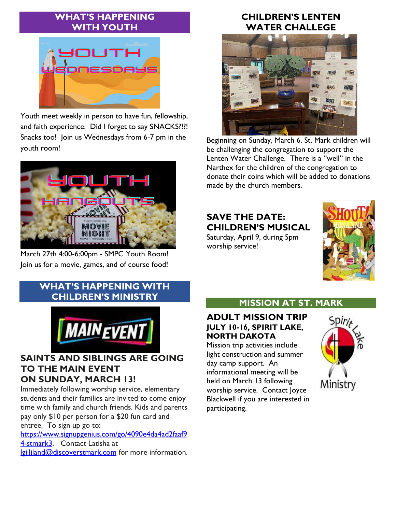## **WHAT'S HAPPENING WITH YOUTH**



Youth meet weekly in person to have fun, fellowship, and faith experience. Did I forget to say SNACKS?!?! Snacks too! Join us Wednesdays from 6-7 pm in the youth room!



March 27th 4:00-6:00pm - SMPC Youth Room! Join us for a movie, games, and of course food!

## **WHAT'S HAPPENING WITH CHILDREN'S MINISTRY**



#### **SAINTS AND SIBLINGS ARE GOING TO THE MAIN EVENT ON SUNDAY, MARCH 13!**

Immediately following worship service, elementary students and their families are invited to come enjoy time with family and church friends. Kids and parents pay only \$10 per person for a \$20 fun card and entree. To sign up go to:

[https://www.signupgenius.com/go/4090e4da4ad2faaf9](https://www.signupgenius.com/go/4090e4da4ad2faaf94-stmark3) [4-stmark3.](https://www.signupgenius.com/go/4090e4da4ad2faaf94-stmark3) Contact Latisha at [lgilliland@discoverstmark.com](mailto:lgilliland@discoverstmark.com) for more information.

## **CHILDREN'S LENTEN WATER CHALLEGE**



Beginning on Sunday, March 6, St. Mark children will be challenging the congregation to support the Lenten Water Challenge. There is a "well" in the Narthex for the children of the congregation to donate their coins which will be added to donations made by the church members.

# **SAVE THE DATE: CHILDREN'S MUSICAL**

Saturday, April 9, during 5pm worship service!



# **MISSION AT ST. MARK**

## **ADULT MISSION TRIP JULY 10-16, SPIRIT LAKE, NORTH DAKOTA**

Mission trip activities include light construction and summer day camp support. An informational meeting will be held on March 13 following worship service. Contact Joyce Blackwell if you are interested in participating.

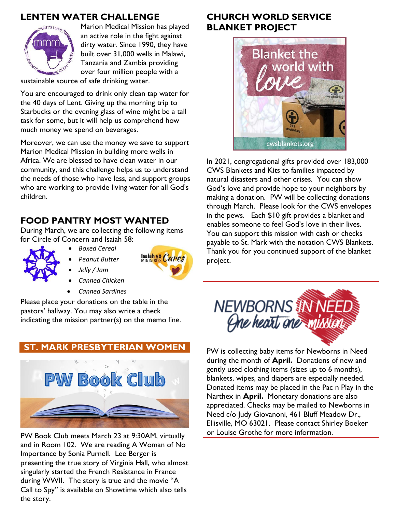## **LENTEN WATER CHALLENGE**



Marion Medical Mission has played an active role in the fight against dirty water. Since 1990, they have built over 31,000 wells in Malawi, Tanzania and Zambia providing over four million people with a

sustainable source of safe drinking water.

You are encouraged to drink only clean tap water for the 40 days of Lent. Giving up the morning trip to Starbucks or the evening glass of wine might be a tall task for some, but it will help us comprehend how much money we spend on beverages.

Moreover, we can use the money we save to support Marion Medical Mission in building more wells in Africa. We are blessed to have clean water in our community, and this challenge helps us to understand the needs of those who have less, and support groups who are working to provide living water for all God's children.

#### **FOOD PANTRY MOST WANTED**

During March, we are collecting the following items for Circle of Concern and Isaiah 58:

- 
- *Boxed Cereal*
- *Peanut Butter*  • *Jelly / Jam*



- *Canned Chicken*
- *Canned Sardines*

Please place your donations on the table in the pastors' hallway. You may also write a check indicating the mission partner(s) on the memo line.



PW Book Club meets March 23 at 9:30AM, virtually and in Room 102. We are reading A Woman of No Importance by Sonia Purnell. Lee Berger is presenting the true story of Virginia Hall, who almost singularly started the French Resistance in France during WWII. The story is true and the movie "A Call to Spy" is available on Showtime which also tells the story.

## **CHURCH WORLD SERVICE BLANKET PROJECT**



In 2021, congregational gifts provided over 183,000 CWS Blankets and Kits to families impacted by natural disasters and other crises. You can show God's love and provide hope to your neighbors by making a donation. PW will be collecting donations through March. Please look for the CWS envelopes in the pews. Each \$10 gift provides a blanket and enables someone to feel God's love in their lives. You can support this mission with cash or checks payable to St. Mark with the notation CWS Blankets. Thank you for you continued support of the blanket project.



PW is collecting baby items for Newborns in Need during the month of **April.** Donations of new and gently used clothing items (sizes up to 6 months), blankets, wipes, and diapers are especially needed. Donated items may be placed in the Pac n Play in the Narthex in **April.** Monetary donations are also appreciated. Checks may be mailed to Newborns in Need c/o Judy Giovanoni, 461 Bluff Meadow Dr., Ellisville, MO 63021. Please contact Shirley Boeker or Louise Grothe for more information.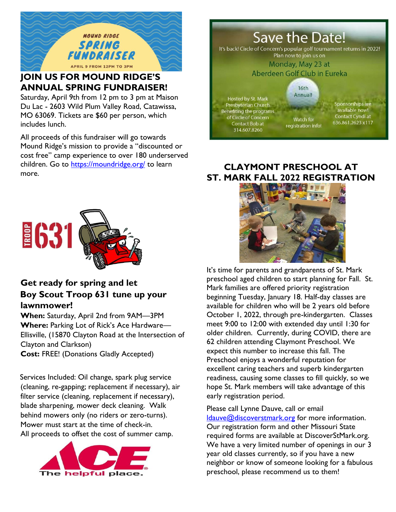

# **JOIN US FOR MOUND RIDGE'S ANNUAL SPRING FUNDRAISER!**

Saturday, April 9th from 12 pm to 3 pm at Maison Du Lac - 2603 Wild Plum Valley Road, Catawissa, MO 63069. Tickets are \$60 per person, which includes lunch.

All proceeds of this fundraiser will go towards Mound Ridge's mission to provide a "discounted or cost free" camp experience to over 180 underserved children. Go to<https://moundridge.org/> to learn more.



### **Get ready for spring and let Boy Scout Troop 631 tune up your lawnmower!**

**When:** Saturday, April 2nd from 9AM—3PM **Where:** Parking Lot of Rick's Ace Hardware— Ellisville, (15870 Clayton Road at the Intersection of Clayton and Clarkson) **Cost:** FREE! (Donations Gladly Accepted)

Services Included: Oil change, spark plug service (cleaning, re-gapping; replacement if necessary), air filter service (cleaning, replacement if necessary), blade sharpening, mower deck cleaning. Walk behind mowers only (no riders or zero-turns). Mower must start at the time of check-in. All proceeds to offset the cost of summer camp.





### **CLAYMONT PRESCHOOL AT ST. MARK FALL 2022 REGISTRATION**



It's time for parents and grandparents of St. Mark preschool aged children to start planning for Fall. St. Mark families are offered priority registration beginning Tuesday, January 18. Half-day classes are available for children who will be 2 years old before October 1, 2022, through pre-kindergarten. Classes meet 9:00 to 12:00 with extended day until 1:30 for older children. Currently, during COVID, there are 62 children attending Claymont Preschool. We expect this number to increase this fall. The Preschool enjoys a wonderful reputation for excellent caring teachers and superb kindergarten readiness, causing some classes to fill quickly, so we hope St. Mark members will take advantage of this early registration period.

Please call Lynne Dauve, call or email [ldauve@discoverstmark.org](mailto:ldauve@discoverstmark.org) for more information. Our registration form and other Missouri State required forms are available at DiscoverStMark.org. We have a very limited number of openings in our 3 year old classes currently, so if you have a new neighbor or know of someone looking for a fabulous preschool, please recommend us to them!